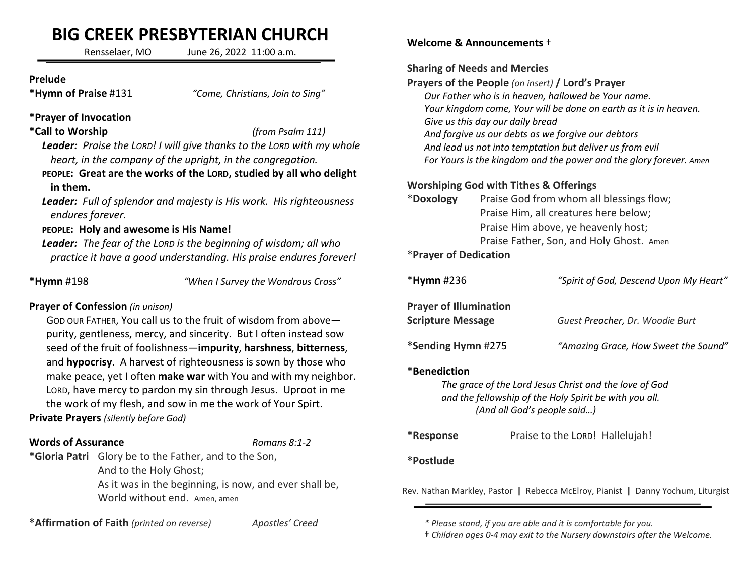# BIG CREEK PRESBYTERIAN CHURCH

Rensselaer, MO June 26, 2022 11:00 a.m.

### Prelude

\*Hymn of Praise #131 "Come, Christians, Join to Sing"

## \*Prayer of Invocation

## \*Call to Worship (from Psalm 111)

Leader: Praise the LORD! I will give thanks to the LORD with my whole heart, in the company of the upright, in the congregation.

PEOPLE: Great are the works of the LORD, studied by all who delight in them.

Leader: Full of splendor and majesty is His work. His righteousness endures forever.

# PEOPLE: Holy and awesome is His Name!

Leader: The fear of the LORD is the beginning of wisdom; all who practice it have a good understanding. His praise endures forever!

\*Hymn #198 "When I Survey the Wondrous Cross"

# Prayer of Confession (in unison)

GOD OUR FATHER, You call us to the fruit of wisdom from above purity, gentleness, mercy, and sincerity. But I often instead sow seed of the fruit of foolishness—impurity, harshness, bitterness, and hypocrisy. A harvest of righteousness is sown by those who make peace, yet I often make war with You and with my neighbor. LORD, have mercy to pardon my sin through Jesus. Uproot in me the work of my flesh, and sow in me the work of Your Spirt. Private Prayers (silently before God)

### **Words of Assurance** Romans 8:1-2

\*Gloria Patri Glory be to the Father, and to the Son, And to the Holy Ghost; As it was in the beginning, is now, and ever shall be, World without end. Amen, amen

\*Affirmation of Faith (printed on reverse) Apostles' Creed

### Welcome & Announcements †

### Sharing of Needs and Mercies

Prayers of the People (on insert) / Lord's Prayer Our Father who is in heaven, hallowed be Your name. Your kingdom come, Your will be done on earth as it is in heaven. Give us this day our daily bread And forgive us our debts as we forgive our debtors And lead us not into temptation but deliver us from evil For Yours is the kingdom and the power and the glory forever. Amen

# Worshiping God with Tithes & Offerings

| *Doxology | Praise God from whom all blessings flow; |  |
|-----------|------------------------------------------|--|
|           | Praise Him, all creatures here below;    |  |
|           | Praise Him above, ye heavenly host;      |  |
|           | Praise Father, Son, and Holy Ghost. Amen |  |
|           |                                          |  |

### \*Prayer of Dedication

| $*$ Hymn #236                                             | "Spirit of God, Descend Upon My Heart" |
|-----------------------------------------------------------|----------------------------------------|
| <b>Prayer of Illumination</b><br><b>Scripture Message</b> | Guest Preacher, Dr. Woodie Burt        |
| *Sending Hymn #275                                        | "Amazing Grace, How Sweet the Sound"   |

### \*Benediction

The grace of the Lord Jesus Christ and the love of God and the fellowship of the Holy Spirit be with you all. (And all God's people said…)

\*Response Praise to the LORD! Hallelujah!

# \*Postlude

Rev. Nathan Markley, Pastor | Rebecca McElroy, Pianist | Danny Yochum, Liturgist

† Children ages 0-4 may exit to the Nursery downstairs after the Welcome.

 <sup>\*</sup> Please stand, if you are able and it is comfortable for you.